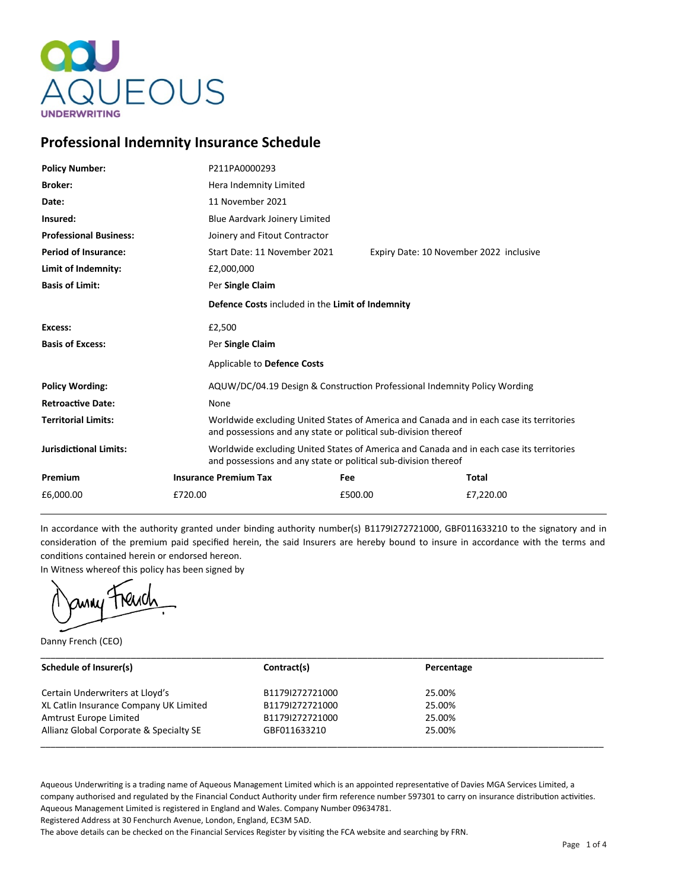

# **Professional Indemnity Insurance Schedule**

| <b>Policy Number:</b>         |         | P211PA0000293                                                                                                                                               |                                         |           |  |
|-------------------------------|---------|-------------------------------------------------------------------------------------------------------------------------------------------------------------|-----------------------------------------|-----------|--|
| <b>Broker:</b>                |         | Hera Indemnity Limited                                                                                                                                      |                                         |           |  |
| Date:                         |         | 11 November 2021                                                                                                                                            |                                         |           |  |
| Insured:                      |         | Blue Aardvark Joinery Limited                                                                                                                               |                                         |           |  |
| <b>Professional Business:</b> |         | Joinery and Fitout Contractor                                                                                                                               |                                         |           |  |
| <b>Period of Insurance:</b>   |         | Start Date: 11 November 2021                                                                                                                                | Expiry Date: 10 November 2022 inclusive |           |  |
| Limit of Indemnity:           |         | £2,000,000                                                                                                                                                  |                                         |           |  |
| <b>Basis of Limit:</b>        |         | Per Single Claim                                                                                                                                            |                                         |           |  |
|                               |         | Defence Costs included in the Limit of Indemnity                                                                                                            |                                         |           |  |
| Excess:                       |         | £2,500                                                                                                                                                      |                                         |           |  |
| <b>Basis of Excess:</b>       |         | Per Single Claim                                                                                                                                            |                                         |           |  |
|                               |         | Applicable to Defence Costs                                                                                                                                 |                                         |           |  |
| <b>Policy Wording:</b>        |         | AQUW/DC/04.19 Design & Construction Professional Indemnity Policy Wording                                                                                   |                                         |           |  |
| <b>Retroactive Date:</b>      |         | None                                                                                                                                                        |                                         |           |  |
| <b>Territorial Limits:</b>    |         | Worldwide excluding United States of America and Canada and in each case its territories<br>and possessions and any state or political sub-division thereof |                                         |           |  |
| <b>Jurisdictional Limits:</b> |         | Worldwide excluding United States of America and Canada and in each case its territories<br>and possessions and any state or political sub-division thereof |                                         |           |  |
| Premium                       |         | <b>Insurance Premium Tax</b>                                                                                                                                | Fee                                     | Total     |  |
| £6,000.00                     | £720.00 |                                                                                                                                                             | £500.00                                 | £7,220.00 |  |

In accordance with the authority granted under binding authority number(s) B1179I272721000, GBF011633210 to the signatory and in consideration of the premium paid specified herein, the said Insurers are hereby bound to insure in accordance with the terms and conditions contained herein or endorsed hereon.

In Witness whereof this policy has been signed by

Danny French (CEO)

| Schedule of Insurer(s)                  | Contract(s)     | Percentage |  |
|-----------------------------------------|-----------------|------------|--|
| Certain Underwriters at Lloyd's         | B1179I272721000 | 25.00%     |  |
| XL Catlin Insurance Company UK Limited  | B1179I272721000 | 25.00%     |  |
| Amtrust Europe Limited                  | B1179I272721000 | 25.00%     |  |
| Allianz Global Corporate & Specialty SE | GBF011633210    | 25.00%     |  |

Aqueous Underwriting is a trading name of Aqueous Management Limited which is an appointed representative of Davies MGA Services Limited, a company authorised and regulated by the Financial Conduct Authority under firm reference number 597301 to carry on insurance distribution activities. Aqueous Management Limited is registered in England and Wales. Company Number 09634781.

Registered Address at 30 Fenchurch Avenue, London, England, EC3M 5AD.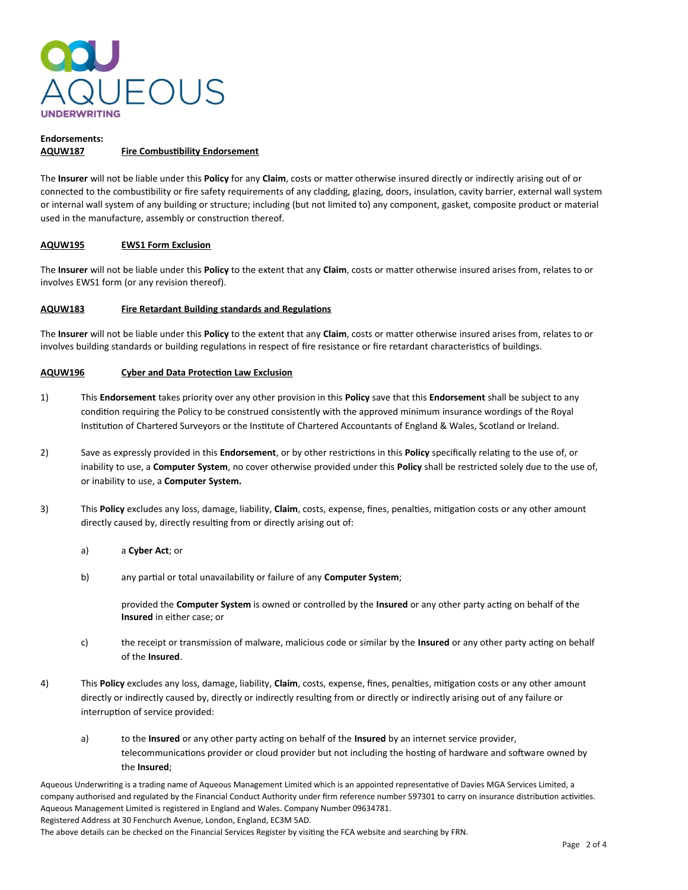

### **Endorsements: AQUW187 Fire Combustibility Endorsement**

The **Insurer** will not be liable under this **Policy** for any **Claim**, costs or matter otherwise insured directly or indirectly arising out of or connected to the combustibility or fire safety requirements of any cladding, glazing, doors, insulation, cavity barrier, external wall system or internal wall system of any building or structure; including (but not limited to) any component, gasket, composite product or material used in the manufacture, assembly or construction thereof.

# **AQUW195 EWS1 Form Exclusion**

The **Insurer** will not be liable under this **Policy** to the extent that any **Claim**, costs or matter otherwise insured arises from, relates to or involves EWS1 form (or any revision thereof).

# **AQUW183 Fire Retardant Building standards and Regulations**

The **Insurer** will not be liable under this **Policy** to the extent that any **Claim**, costs or matter otherwise insured arises from, relates to or involves building standards or building regulations in respect of fire resistance or fire retardant characteristics of buildings.

# **AQUW196 Cyber and Data Protection Law Exclusion**

- 1) This **Endorsement** takes priority over any other provision in this **Policy** save that this **Endorsement** shall be subject to any condition requiring the Policy to be construed consistently with the approved minimum insurance wordings of the Royal Institution of Chartered Surveyors or the Institute of Chartered Accountants of England & Wales, Scotland or Ireland.
- 2) Save as expressly provided in this **Endorsement**, or by other restrictions in this **Policy** specifically relating to the use of, or inability to use, a **Computer System**, no cover otherwise provided under this **Policy** shall be restricted solely due to the use of, or inability to use, a **Computer System.**
- 3) This **Policy** excludes any loss, damage, liability, **Claim**, costs, expense, fines, penalties, mitigation costs or any other amount directly caused by, directly resulting from or directly arising out of:
	- a) a **Cyber Act**; or
	- b) any partial or total unavailability or failure of any **Computer System**;

provided the **Computer System** is owned or controlled by the **Insured** or any other party acting on behalf of the **Insured** in either case; or

- c) the receipt or transmission of malware, malicious code or similar by the **Insured** or any other party acting on behalf of the **Insured**.
- 4) This **Policy** excludes any loss, damage, liability, **Claim**, costs, expense, fines, penalties, mitigation costs or any other amount directly or indirectly caused by, directly or indirectly resulting from or directly or indirectly arising out of any failure or interruption of service provided:
	- a) to the **Insured** or any other party acting on behalf of the **Insured** by an internet service provider, telecommunications provider or cloud provider but not including the hosting of hardware and software owned by the **Insured**;

Aqueous Underwriting is a trading name of Aqueous Management Limited which is an appointed representative of Davies MGA Services Limited, a company authorised and regulated by the Financial Conduct Authority under firm reference number 597301 to carry on insurance distribution activities. Aqueous Management Limited is registered in England and Wales. Company Number 09634781. Registered Address at 30 Fenchurch Avenue, London, England, EC3M 5AD.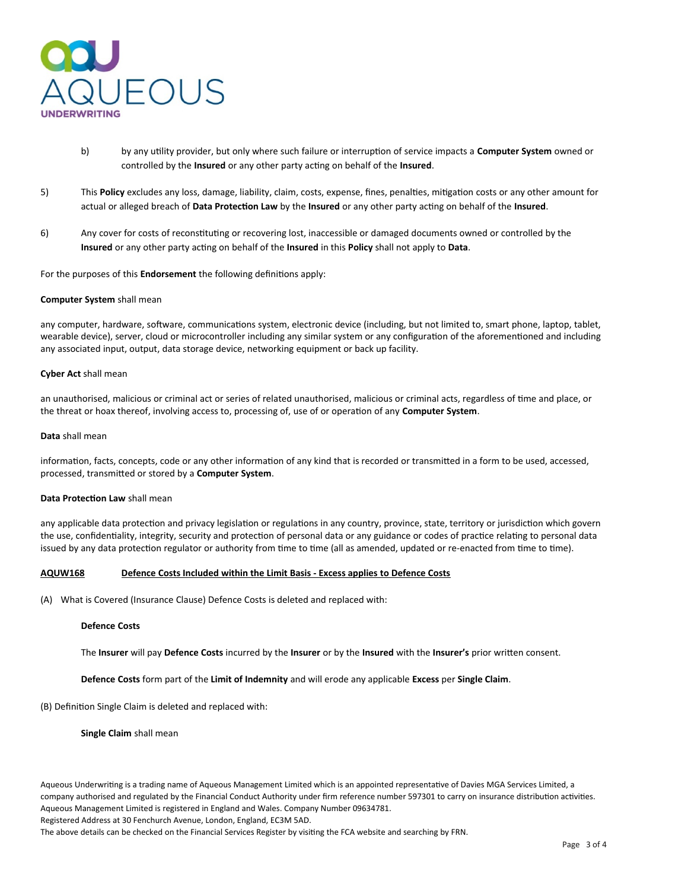

- b) by any utility provider, but only where such failure or interruption of service impacts a **Computer System** owned or controlled by the **Insured** or any other party acting on behalf of the **Insured**.
- 5) This **Policy** excludes any loss, damage, liability, claim, costs, expense, fines, penalties, mitigation costs or any other amount for actual or alleged breach of **Data Protection Law** by the **Insured** or any other party acting on behalf of the **Insured**.
- 6) Any cover for costs of reconstituting or recovering lost, inaccessible or damaged documents owned or controlled by the **Insured** or any other party acting on behalf of the **Insured** in this **Policy** shall not apply to **Data**.

For the purposes of this **Endorsement** the following definitions apply:

#### **Computer System** shall mean

any computer, hardware, software, communications system, electronic device (including, but not limited to, smart phone, laptop, tablet, wearable device), server, cloud or microcontroller including any similar system or any configuration of the aforementioned and including any associated input, output, data storage device, networking equipment or back up facility.

#### **Cyber Act** shall mean

an unauthorised, malicious or criminal act or series of related unauthorised, malicious or criminal acts, regardless of time and place, or the threat or hoax thereof, involving access to, processing of, use of or operation of any **Computer System**.

#### **Data** shall mean

information, facts, concepts, code or any other information of any kind that is recorded or transmitted in a form to be used, accessed, processed, transmitted or stored by a **Computer System**.

## **Data Protection Law** shall mean

any applicable data protection and privacy legislation or regulations in any country, province, state, territory or jurisdiction which govern the use, confidentiality, integrity, security and protection of personal data or any guidance or codes of practice relating to personal data issued by any data protection regulator or authority from time to time (all as amended, updated or re-enacted from time to time).

# **AQUW168 Defence Costs Included within the Limit Basis - Excess applies to Defence Costs**

(A) What is Covered (Insurance Clause) Defence Costs is deleted and replaced with:

#### **Defence Costs**

The **Insurer** will pay **Defence Costs** incurred by the **Insurer** or by the **Insured** with the **Insurer's** prior written consent.

**Defence Costs** form part of the **Limit of Indemnity** and will erode any applicable **Excess** per **Single Claim**.

#### (B) Definition Single Claim is deleted and replaced with:

**Single Claim** shall mean

Aqueous Underwriting is a trading name of Aqueous Management Limited which is an appointed representative of Davies MGA Services Limited, a company authorised and regulated by the Financial Conduct Authority under firm reference number 597301 to carry on insurance distribution activities. Aqueous Management Limited is registered in England and Wales. Company Number 09634781.

Registered Address at 30 Fenchurch Avenue, London, England, EC3M 5AD.